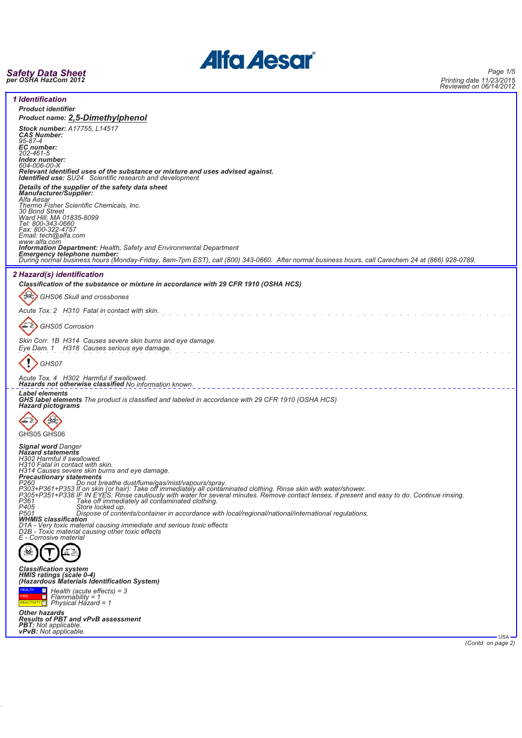

# *Safety Data Sheet per OSHA HazCom 2012*

| <b>1</b> Identification<br><b>Product identifier</b><br><b>Product name: 2,5-Dimethylphenol</b>                                                                                                                                                                                                                                                                                                                       |
|-----------------------------------------------------------------------------------------------------------------------------------------------------------------------------------------------------------------------------------------------------------------------------------------------------------------------------------------------------------------------------------------------------------------------|
| Stock number: A17755, L14517<br><b>CAS Number:</b><br>95-87-4<br>EC number:                                                                                                                                                                                                                                                                                                                                           |
| 202-461-5<br>Index number:<br>604-006-00-X<br>Relevant identified uses of the substance or mixture and uses advised against.<br><b>Identified use:</b> SU24 Scientific research and development                                                                                                                                                                                                                       |
| Details of the supplier of the safety data sheet<br>Manufacturer/Supplier:<br>Alfa Aesar<br>Thermo Fisher Scientific Chemicals, Inc.<br>30 Bond Street                                                                                                                                                                                                                                                                |
| Ward Hill, MA 01835-8099<br>Tel: 800-343-0660<br>Fax: 800-322-4757<br>Email: tech@alfa.com                                                                                                                                                                                                                                                                                                                            |
| www.alfa.com<br>Information Department: Health, Safety and Environmental Department<br>Emergency telephone number:<br>During normal business hours (Monday-Friday, 8am-7pm EST), call (800) 343-0660. After normal business hours, call Carechem 24 at (866) 928-0789.                                                                                                                                                |
| 2 Hazard(s) identification                                                                                                                                                                                                                                                                                                                                                                                            |
| Classification of the substance or mixture in accordance with 29 CFR 1910 (OSHA HCS)<br>GHS06 Skull and crossbones                                                                                                                                                                                                                                                                                                    |
| Acute Tox. 2 H310 Fatal in contact with skin.                                                                                                                                                                                                                                                                                                                                                                         |
| GHS05 Corrosion                                                                                                                                                                                                                                                                                                                                                                                                       |
| Skin Corr. 1B H314 Causes severe skin burns and eye damage.<br>Eye Dam. 1 H318 Causes serious eye damage.                                                                                                                                                                                                                                                                                                             |
| GHS07                                                                                                                                                                                                                                                                                                                                                                                                                 |
| Acute Tox. 4 H302 Harmful if swallowed.<br>Hazards not otherwise classified No information known.                                                                                                                                                                                                                                                                                                                     |
| <b>Label elements</b><br>GHS label elements The product is classified and labeled in accordance with 29 CFR 1910 (OSHA HCS)<br><b>Hazard pictograms</b>                                                                                                                                                                                                                                                               |
| GHS05 GHS06                                                                                                                                                                                                                                                                                                                                                                                                           |
| <b>Signal word Danger<br/>Hazard statements</b><br>H302 Harmful if swallowed.<br>H310 Fatal in contact with skin.                                                                                                                                                                                                                                                                                                     |
| H314 Causes severe skin burns and eye damage.<br><b>Precautionary statements</b><br>Do not breathe dust/fume/gas/mist/vapours/spray.<br>P260<br>P303+P361+P353 If on skin (or hair): Take off immediately all contaminated clothing. Rinse skin with water/shower.<br>P305+P351+P338 IF IN EYES: Rinse cautiously with water for several minutes. Remove contact lenses, if present and easy to do. Continue rinsing. |
| P361<br>Take off immediately all contaminated clothing.<br>P405<br>Store locked up.<br>P501<br>Dispose of contents/container in accordance with local/regional/national/international regulations.                                                                                                                                                                                                                    |
| <b>WHMIS classification</b><br>D1A - Very toxic material causing immediate and serious toxic effects<br>D2B - Toxic material causing other toxic effects<br>E - Corrosive material                                                                                                                                                                                                                                    |
|                                                                                                                                                                                                                                                                                                                                                                                                                       |
| <b>Classification system</b><br>HMIS ratings (scale 0-4)<br>(Hazardous Materials Identification System)                                                                                                                                                                                                                                                                                                               |
| <b>HEALTH</b><br>$\frac{3}{2}$ Health (acute effects) = 3<br>п<br><b>FIRE</b><br>$Flammablity = 1$<br>REACTIVITY 1 Physical Hazard = 1                                                                                                                                                                                                                                                                                |
| <b>Other hazards</b><br><b>Results of PBT and vPvB assessment</b><br><b>PBT:</b> Not applicable.<br><b>vPvB:</b> Not applicable.<br><b>USA</b>                                                                                                                                                                                                                                                                        |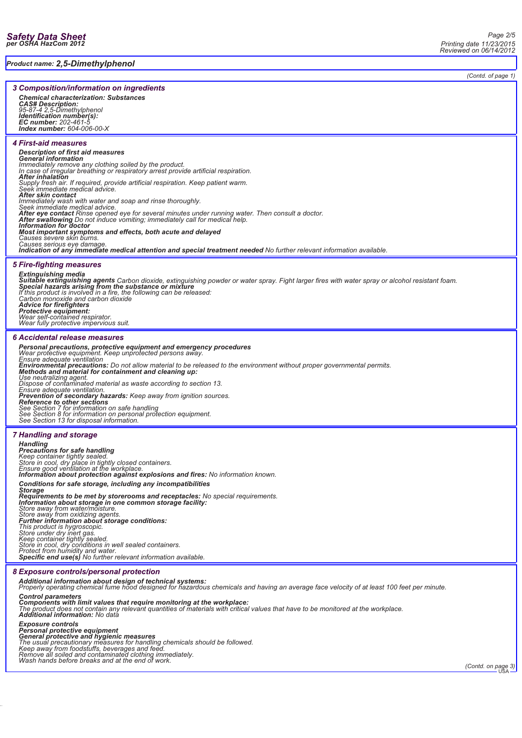*Product name: 2,5-Dimethylphenol*

*Page 2/5 Printing date 11/23/2015 Reviewed on 06/14/2012*

*(Contd. of page 1)*

## *3 Composition/information on ingredients*

*Chemical characterization: Substances CAS# Description: 95-87-4 2,5-Dimethylphenol Identification number(s): EC number: 202-461-5 Index number: 604-006-00-X*

# *4 First-aid measures*

# *Description of first aid measures General information Immediately remove any clothing soiled by the product.* In case of irregular breathing or respiratory arrest provide artificial respiration.<br>**After inhalation**<br>Supply fresh air. If required, provide artificial respiration. Keep patient warm.<br>Seek immediate medical advice. *After skin contact Immediately wash with water and soap and rinse thoroughly. Seek immediate medical advice.* Octon initiation includes the present of the process and the experiment of the eye contact Rinse opened eye for several minutes under running water. Then consult a doctor.<br> **After swallowing** Do not induce vomiting; immedi *Most important symptoms and effects, both acute and delayed Causes severe skin burns. Causes serious eye damage. Indication of any immediate medical attention and special treatment needed No further relevant information available.*

# *5 Fire-fighting measures*

**Extinguishing media**<br>**Suitable extinguishing agents** Carbon dioxide, extinguishing powder or water spray. Fight larger fires with water spray or alcohol resistant foam.<br>Special hazards arising from the substance or mixtur *If this product is involved in a fire, the following can be released: Carbon monoxide and carbon dioxide*

*Advice for firefighters Protective equipment: Wear self-contained respirator.*

*Wear fully protective impervious suit.*

## *6 Accidental release measures*

*Personal precautions, protective equipment and emergency procedures Wear protective equipment. Keep unprotected persons away. Ensure adequate ventilation*

*Environmental precautions: Do not allow material to be released to the environment without proper governmental permits. Methods and material for containment and cleaning up:*

*Use neutralizing agent. Dispose of contaminated material as waste according to section 13.*

Ensure adequate ventilation.<br>**Prevention of secondary hazards:** Keep away from ignition sources.<br>**Reference to other sections**<br>See Section 7 for information on safe handling<br>See Section 8 for information on personal protec

# *7 Handling and storage*

*Handling Precautions for safe handling Keep container tightly sealed. Store in cool, dry place in tightly closed containers. Ensure good ventilation at the workplace. Information about protection against explosions and fires: No information known.*

Conditions for safe storage, including any incompatibilities<br>Storage<br>Requirements to be met by storerooms and receptacles: No special requirements.<br>Information about storage in one common storage facility:<br>Store away from

# *8 Exposure controls/personal protection*

*Additional information about design of technical systems: Properly operating chemical fume hood designed for hazardous chemicals and having an average face velocity of at least 100 feet per minute.*

*Control parameters*

**Components with limit values that require monitoring at the workplace:**<br>The product does not contain any relevant quantities of materials with critical values that have to be monitored at the workplace.<br>**Additional inform** 

### *Exposure controls*

*Personal protective equipment General protective and hygienic measures The usual precautionary measures for handling chemicals should be followed.*

*Keep away from foodstuffs, beverages and feed. Remove all soiled and contaminated clothing immediately. Wash hands before breaks and at the end of work.*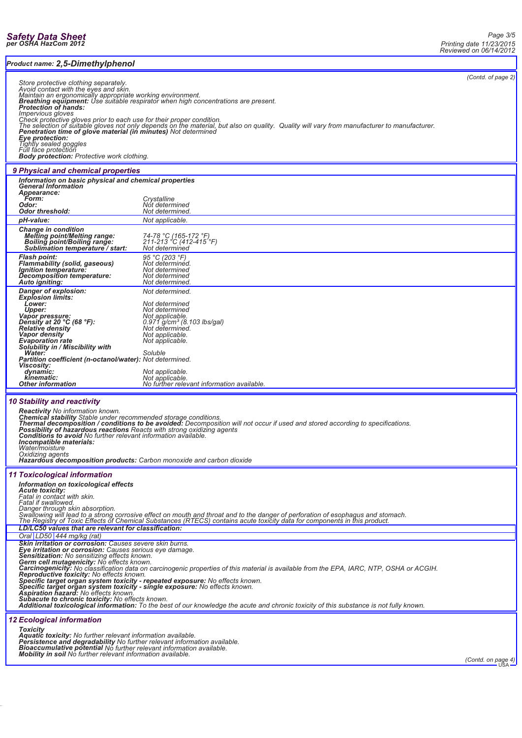╞

| Product name: 2,5-Dimethylphenol                                                                                                                                                                                                                                                                                                                                                                                                                                                                                                                                                                                                                    |                                                                                                                     |  |  |  |  |  |
|-----------------------------------------------------------------------------------------------------------------------------------------------------------------------------------------------------------------------------------------------------------------------------------------------------------------------------------------------------------------------------------------------------------------------------------------------------------------------------------------------------------------------------------------------------------------------------------------------------------------------------------------------------|---------------------------------------------------------------------------------------------------------------------|--|--|--|--|--|
| (Contd. of page 2)<br>Store protective clothing separately.<br>Avoid contact with the eyes and skin.<br>Maintain an ergonomically appropriate working environment.<br>Breathing equipment: Use suitable respirator when high concentrations are present.<br>Protection of hands:<br><i><b>Impervious gloves</b></i>                                                                                                                                                                                                                                                                                                                                 |                                                                                                                     |  |  |  |  |  |
| Check protective gloves prior to each use for their proper condition.<br>The selection of suitable gloves not only depends on the material, but also on quality. Quality will vary from manufacturer to manufacturer.<br><b>Penetration time of glove material (in minutes)</b> Not determined<br>Eye protection:<br>Tightly sealed goggles<br>Full fáce protection<br><b>Body protection:</b> Protective work clothing.                                                                                                                                                                                                                            |                                                                                                                     |  |  |  |  |  |
| 9 Physical and chemical properties                                                                                                                                                                                                                                                                                                                                                                                                                                                                                                                                                                                                                  |                                                                                                                     |  |  |  |  |  |
| Information on basic physical and chemical properties<br><b>General Information</b><br><b>Appearance:</b>                                                                                                                                                                                                                                                                                                                                                                                                                                                                                                                                           |                                                                                                                     |  |  |  |  |  |
| <b>Form:</b><br>Odor:<br>Odor threshold:                                                                                                                                                                                                                                                                                                                                                                                                                                                                                                                                                                                                            | Crystalline<br>Not determined<br>Not determined.                                                                    |  |  |  |  |  |
| pH-value:                                                                                                                                                                                                                                                                                                                                                                                                                                                                                                                                                                                                                                           | Not applicable.                                                                                                     |  |  |  |  |  |
| <b>Change in condition</b><br><b>Melting point/Melting range:</b><br>Boiling point/Boiling range:<br>Sublimation temperature / start:                                                                                                                                                                                                                                                                                                                                                                                                                                                                                                               | 74-78 °C (165-172 °F)<br>211-213 °C (412-415 <sup>°</sup> F)<br>Not determined                                      |  |  |  |  |  |
| <b>Flash point:</b><br>Flammability (solid, gaseous)<br>Ignition temperature:<br>Decomposition temperature:<br>Auto igniting:                                                                                                                                                                                                                                                                                                                                                                                                                                                                                                                       | 95 °C (203 °F)<br>Not determinéd.<br>Not determined<br>Not determined<br>Not determined.                            |  |  |  |  |  |
| Danger of explosion:<br><b>Explosion limits:</b><br>Lower:<br>Upper:                                                                                                                                                                                                                                                                                                                                                                                                                                                                                                                                                                                | Not determined.<br>Not determined<br>Not determined                                                                 |  |  |  |  |  |
| <b>Vapor pressure:</b><br>Density at 20 $^{\circ}$ C (68 $^{\circ}$ F):<br><b>Relative density</b><br>Vapor density<br><b>Evaporation</b> rate<br>Solubility in / Miscibility with                                                                                                                                                                                                                                                                                                                                                                                                                                                                  | Not applicable.<br>0.971 g/cm <sup>3</sup> (8.103 lbs/gal)<br>Not determined.<br>Not applicable.<br>Not applicable. |  |  |  |  |  |
| Soluble<br>Water:<br>Partition coefficient (n-octanol/water): Not determined.<br><b>Viscosity:</b><br>dynamic:<br>Not applicable.                                                                                                                                                                                                                                                                                                                                                                                                                                                                                                                   |                                                                                                                     |  |  |  |  |  |
| kinematic:<br><b>Other information</b>                                                                                                                                                                                                                                                                                                                                                                                                                                                                                                                                                                                                              | Not applicable.<br>No further relevant information available.                                                       |  |  |  |  |  |
| 10 Stability and reactivity<br><b>Reactivity</b> No information known.<br>Chemical stability Stable under recommended storage conditions.<br>Thermal decomposition / conditions to be avoided: Decomposition will not occur if used and stored according to specifications.<br>Possibility of hazardous reactions Reacts with strong oxidizing agents Conditions to avoid No further relevant information available.<br>Incompatible materials:<br>Water/moisture<br>Oxidizing agents<br><b>Hazardous decomposition products:</b> Carbon monoxide and carbon dioxide                                                                                |                                                                                                                     |  |  |  |  |  |
| <b>11 Toxicological information</b><br>Information on toxicological effects<br><b>Acute toxicity:</b><br>Fatal in contact with skin.<br>Fatal if swallowed.<br>Danger through skin absorption.<br>Swallowing will lead to a strong corrosive effect on mouth and throat and to the danger of perforation of esophagus and stomach.<br>The Registry of Toxic Effects of Chemical Substances (RTECS) contains acute toxicity data for components in this product.                                                                                                                                                                                     |                                                                                                                     |  |  |  |  |  |
| LD/LC50 values that are relevant for classification:<br>Oral LD50 444 mg/kg (rat)<br><b>Skin irritation or corrosion:</b> Causes severe skin burns.<br><b>Eye irritation or corrosion:</b> Causes serious eye damage.<br>Sensitization: No sensitizing effects known.                                                                                                                                                                                                                                                                                                                                                                               |                                                                                                                     |  |  |  |  |  |
| Germ cell mutagenicity: No effects known.<br>Carcinogenicity: No classification data on carcinogenic properties of this material is available from the EPA, IARC, NTP, OSHA or ACGIH.<br>Reproductive toxicity: No effects known.<br>Specific target organ system toxicity - repeated exposure: No effects known.<br>Specific target organ system toxicity - single exposure: No effects known.<br><b>Aspiration hazard:</b> No effects known.<br><b>Subacute to chronic toxicity: No effects known.</b><br>Additional toxicological information: To the best of our knowledge the acute and chronic toxicity of this substance is not fully known. |                                                                                                                     |  |  |  |  |  |
| <b>12 Ecological information</b><br><b>Toxicity</b><br><b>Aquatic toxicity:</b> No further relevant information available.<br>Persistence and degradability No further relevant information available.<br>Bioaccumulative potential No further relevant information available.<br><b>Mobility in soil</b> No further relevant information available.                                                                                                                                                                                                                                                                                                |                                                                                                                     |  |  |  |  |  |

*(Contd. on page 4)*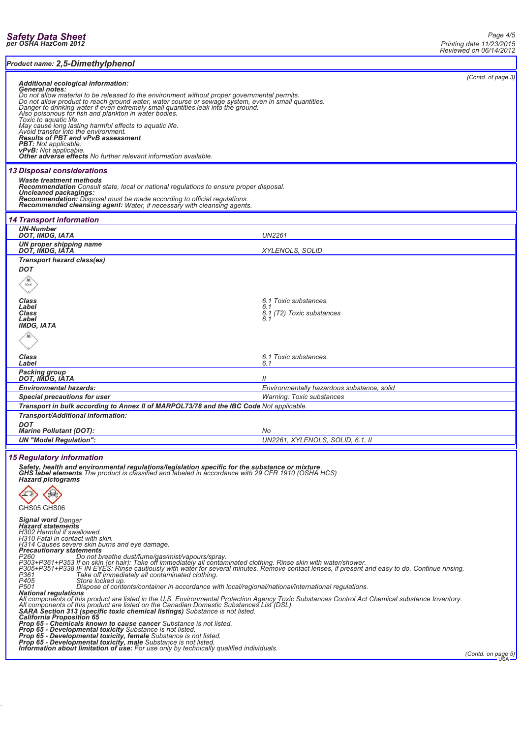Ŀ

| Additional ecological information:<br><b>General notes:</b><br>Do not allow material to be released to the environment without proper governmental permits.<br>Do not allow product to reach ground water, water course or sewage system, even in small quantities.<br>Danger to drinking water if<br>May cause long lasting harmful effects to aquatic life.<br>Avoid transfer into the environment.<br><b>Results of PBT and vPvB assessment</b><br>PBT: Not applicable.<br>vPvB: Not applicable.<br>Other adverse effects No further relevant information available.<br><b>13 Disposal considerations</b><br>Waste treatment methods<br><b>Recommendation</b> Consult state, local or national regulations to ensure proper disposal.<br>Uncleaned packagings:<br>Recommendation: Disposal must be made according to official regulations.<br>Recommended cleansing agent: Water, if necessary with cleansing agents.<br><b>14 Transport information</b><br><b>UN-Number</b><br>DOT, IMDG, IATA<br><b>UN2261</b><br>UN proper shipping name<br>DOT, IMDG, IATA<br><b>XYLENOLS, SOLID</b><br><b>Transport hazard class(es)</b><br><b>DOT</b><br>Class<br>6.1 Toxic substances.<br>Label<br>6.1<br>Class<br>6.1 (T2) Toxic substances<br>Label<br><b>IMDG, IATA</b><br>6.1 Toxic substances.<br>Class<br>Label<br>6.1<br>Packing group<br>DOT, IMDG, IATA<br>$\mathcal{U}$<br><b>Environmental hazards:</b><br>Environmentally hazardous substance, solid<br><b>Special precautions for user</b><br><b>Warning: Toxic substances</b><br>Transport in bulk according to Annex II of MARPOL73/78 and the IBC Code Not applicable.<br>Transport/Additional information:<br><b>DOT</b><br><b>Marine Pollutant (DOT):</b><br>No<br><b>UN "Model Regulation":</b><br>UN2261. XYLENOLS. SOLID. 6.1. II<br><b>15 Regulatory information</b><br>Safety, health and environmental regulations/legislation specific for the substance or mixture<br>GHS label elements The product is classified and labeled in accordance with 29 CFR 1910 (OSHA HCS)<br><b>Hazard pictograms</b><br>GHS05 GHS06<br><b>Signal word Danger</b><br><b>Hazard statements</b><br>H302 Harmful if swallowed.<br>H310 Fatal in contact with skin.<br>H314 Causes severe skin burns and eye damage.<br><b>Precautionary statements</b><br>P260<br>Do not breathe dust/fume/gas/mist/vapours/spray.<br>P303+P361+P353 If on skin (or hair): Take off immediately all contaminated clothing. Rinse skin with water/shower.<br>P305+P351+P338 IF IN EYES: Rinse cautiously with water for several minutes. Remove contact lenses, if prese<br>P405<br>P501<br>Store locked up.<br>Dispose of contents/container in accordance with local/regional/national/international regulations.<br><b>National regulations</b><br>All components of this product are listed in the U.S. Environmental Protection Agency Toxic Substances Control Act Chemical substance Inventory.<br>All components of this product are listed on the Canadian Domestic Substances List (DSL).<br>SARA Section 313 (specific toxic chemical listings) Substance is not listed.<br><b>California Proposition 65</b><br><b>Prop 65 - Chemicals known to cause cancer</b> Substance is not listed.<br><b>Prop 65 - Developmental toxicity</b> Substance is not listed. | Product name: 2,5-Dimethylphenol                                                                                                                                                                                                |  |  |                    |  |  |  |
|---------------------------------------------------------------------------------------------------------------------------------------------------------------------------------------------------------------------------------------------------------------------------------------------------------------------------------------------------------------------------------------------------------------------------------------------------------------------------------------------------------------------------------------------------------------------------------------------------------------------------------------------------------------------------------------------------------------------------------------------------------------------------------------------------------------------------------------------------------------------------------------------------------------------------------------------------------------------------------------------------------------------------------------------------------------------------------------------------------------------------------------------------------------------------------------------------------------------------------------------------------------------------------------------------------------------------------------------------------------------------------------------------------------------------------------------------------------------------------------------------------------------------------------------------------------------------------------------------------------------------------------------------------------------------------------------------------------------------------------------------------------------------------------------------------------------------------------------------------------------------------------------------------------------------------------------------------------------------------------------------------------------------------------------------------------------------------------------------------------------------------------------------------------------------------------------------------------------------------------------------------------------------------------------------------------------------------------------------------------------------------------------------------------------------------------------------------------------------------------------------------------------------------------------------------------------------------------------------------------------------------------------------------------------------------------------------------------------------------------------------------------------------------------------------------------------------------------------------------------------------------------------------------------------------------------------------------------------------------------------------------------------------------------------------------------------------------------------------------------------------------------------------------------------------------------------------------------------------------------------------------------------------------------------------------|---------------------------------------------------------------------------------------------------------------------------------------------------------------------------------------------------------------------------------|--|--|--------------------|--|--|--|
|                                                                                                                                                                                                                                                                                                                                                                                                                                                                                                                                                                                                                                                                                                                                                                                                                                                                                                                                                                                                                                                                                                                                                                                                                                                                                                                                                                                                                                                                                                                                                                                                                                                                                                                                                                                                                                                                                                                                                                                                                                                                                                                                                                                                                                                                                                                                                                                                                                                                                                                                                                                                                                                                                                                                                                                                                                                                                                                                                                                                                                                                                                                                                                                                                                                                                                         |                                                                                                                                                                                                                                 |  |  | (Contd. of page 3) |  |  |  |
|                                                                                                                                                                                                                                                                                                                                                                                                                                                                                                                                                                                                                                                                                                                                                                                                                                                                                                                                                                                                                                                                                                                                                                                                                                                                                                                                                                                                                                                                                                                                                                                                                                                                                                                                                                                                                                                                                                                                                                                                                                                                                                                                                                                                                                                                                                                                                                                                                                                                                                                                                                                                                                                                                                                                                                                                                                                                                                                                                                                                                                                                                                                                                                                                                                                                                                         |                                                                                                                                                                                                                                 |  |  |                    |  |  |  |
|                                                                                                                                                                                                                                                                                                                                                                                                                                                                                                                                                                                                                                                                                                                                                                                                                                                                                                                                                                                                                                                                                                                                                                                                                                                                                                                                                                                                                                                                                                                                                                                                                                                                                                                                                                                                                                                                                                                                                                                                                                                                                                                                                                                                                                                                                                                                                                                                                                                                                                                                                                                                                                                                                                                                                                                                                                                                                                                                                                                                                                                                                                                                                                                                                                                                                                         |                                                                                                                                                                                                                                 |  |  |                    |  |  |  |
|                                                                                                                                                                                                                                                                                                                                                                                                                                                                                                                                                                                                                                                                                                                                                                                                                                                                                                                                                                                                                                                                                                                                                                                                                                                                                                                                                                                                                                                                                                                                                                                                                                                                                                                                                                                                                                                                                                                                                                                                                                                                                                                                                                                                                                                                                                                                                                                                                                                                                                                                                                                                                                                                                                                                                                                                                                                                                                                                                                                                                                                                                                                                                                                                                                                                                                         |                                                                                                                                                                                                                                 |  |  |                    |  |  |  |
|                                                                                                                                                                                                                                                                                                                                                                                                                                                                                                                                                                                                                                                                                                                                                                                                                                                                                                                                                                                                                                                                                                                                                                                                                                                                                                                                                                                                                                                                                                                                                                                                                                                                                                                                                                                                                                                                                                                                                                                                                                                                                                                                                                                                                                                                                                                                                                                                                                                                                                                                                                                                                                                                                                                                                                                                                                                                                                                                                                                                                                                                                                                                                                                                                                                                                                         |                                                                                                                                                                                                                                 |  |  |                    |  |  |  |
|                                                                                                                                                                                                                                                                                                                                                                                                                                                                                                                                                                                                                                                                                                                                                                                                                                                                                                                                                                                                                                                                                                                                                                                                                                                                                                                                                                                                                                                                                                                                                                                                                                                                                                                                                                                                                                                                                                                                                                                                                                                                                                                                                                                                                                                                                                                                                                                                                                                                                                                                                                                                                                                                                                                                                                                                                                                                                                                                                                                                                                                                                                                                                                                                                                                                                                         |                                                                                                                                                                                                                                 |  |  |                    |  |  |  |
|                                                                                                                                                                                                                                                                                                                                                                                                                                                                                                                                                                                                                                                                                                                                                                                                                                                                                                                                                                                                                                                                                                                                                                                                                                                                                                                                                                                                                                                                                                                                                                                                                                                                                                                                                                                                                                                                                                                                                                                                                                                                                                                                                                                                                                                                                                                                                                                                                                                                                                                                                                                                                                                                                                                                                                                                                                                                                                                                                                                                                                                                                                                                                                                                                                                                                                         |                                                                                                                                                                                                                                 |  |  |                    |  |  |  |
|                                                                                                                                                                                                                                                                                                                                                                                                                                                                                                                                                                                                                                                                                                                                                                                                                                                                                                                                                                                                                                                                                                                                                                                                                                                                                                                                                                                                                                                                                                                                                                                                                                                                                                                                                                                                                                                                                                                                                                                                                                                                                                                                                                                                                                                                                                                                                                                                                                                                                                                                                                                                                                                                                                                                                                                                                                                                                                                                                                                                                                                                                                                                                                                                                                                                                                         |                                                                                                                                                                                                                                 |  |  |                    |  |  |  |
|                                                                                                                                                                                                                                                                                                                                                                                                                                                                                                                                                                                                                                                                                                                                                                                                                                                                                                                                                                                                                                                                                                                                                                                                                                                                                                                                                                                                                                                                                                                                                                                                                                                                                                                                                                                                                                                                                                                                                                                                                                                                                                                                                                                                                                                                                                                                                                                                                                                                                                                                                                                                                                                                                                                                                                                                                                                                                                                                                                                                                                                                                                                                                                                                                                                                                                         |                                                                                                                                                                                                                                 |  |  |                    |  |  |  |
|                                                                                                                                                                                                                                                                                                                                                                                                                                                                                                                                                                                                                                                                                                                                                                                                                                                                                                                                                                                                                                                                                                                                                                                                                                                                                                                                                                                                                                                                                                                                                                                                                                                                                                                                                                                                                                                                                                                                                                                                                                                                                                                                                                                                                                                                                                                                                                                                                                                                                                                                                                                                                                                                                                                                                                                                                                                                                                                                                                                                                                                                                                                                                                                                                                                                                                         |                                                                                                                                                                                                                                 |  |  |                    |  |  |  |
|                                                                                                                                                                                                                                                                                                                                                                                                                                                                                                                                                                                                                                                                                                                                                                                                                                                                                                                                                                                                                                                                                                                                                                                                                                                                                                                                                                                                                                                                                                                                                                                                                                                                                                                                                                                                                                                                                                                                                                                                                                                                                                                                                                                                                                                                                                                                                                                                                                                                                                                                                                                                                                                                                                                                                                                                                                                                                                                                                                                                                                                                                                                                                                                                                                                                                                         |                                                                                                                                                                                                                                 |  |  |                    |  |  |  |
|                                                                                                                                                                                                                                                                                                                                                                                                                                                                                                                                                                                                                                                                                                                                                                                                                                                                                                                                                                                                                                                                                                                                                                                                                                                                                                                                                                                                                                                                                                                                                                                                                                                                                                                                                                                                                                                                                                                                                                                                                                                                                                                                                                                                                                                                                                                                                                                                                                                                                                                                                                                                                                                                                                                                                                                                                                                                                                                                                                                                                                                                                                                                                                                                                                                                                                         |                                                                                                                                                                                                                                 |  |  |                    |  |  |  |
|                                                                                                                                                                                                                                                                                                                                                                                                                                                                                                                                                                                                                                                                                                                                                                                                                                                                                                                                                                                                                                                                                                                                                                                                                                                                                                                                                                                                                                                                                                                                                                                                                                                                                                                                                                                                                                                                                                                                                                                                                                                                                                                                                                                                                                                                                                                                                                                                                                                                                                                                                                                                                                                                                                                                                                                                                                                                                                                                                                                                                                                                                                                                                                                                                                                                                                         |                                                                                                                                                                                                                                 |  |  |                    |  |  |  |
|                                                                                                                                                                                                                                                                                                                                                                                                                                                                                                                                                                                                                                                                                                                                                                                                                                                                                                                                                                                                                                                                                                                                                                                                                                                                                                                                                                                                                                                                                                                                                                                                                                                                                                                                                                                                                                                                                                                                                                                                                                                                                                                                                                                                                                                                                                                                                                                                                                                                                                                                                                                                                                                                                                                                                                                                                                                                                                                                                                                                                                                                                                                                                                                                                                                                                                         |                                                                                                                                                                                                                                 |  |  |                    |  |  |  |
|                                                                                                                                                                                                                                                                                                                                                                                                                                                                                                                                                                                                                                                                                                                                                                                                                                                                                                                                                                                                                                                                                                                                                                                                                                                                                                                                                                                                                                                                                                                                                                                                                                                                                                                                                                                                                                                                                                                                                                                                                                                                                                                                                                                                                                                                                                                                                                                                                                                                                                                                                                                                                                                                                                                                                                                                                                                                                                                                                                                                                                                                                                                                                                                                                                                                                                         |                                                                                                                                                                                                                                 |  |  |                    |  |  |  |
|                                                                                                                                                                                                                                                                                                                                                                                                                                                                                                                                                                                                                                                                                                                                                                                                                                                                                                                                                                                                                                                                                                                                                                                                                                                                                                                                                                                                                                                                                                                                                                                                                                                                                                                                                                                                                                                                                                                                                                                                                                                                                                                                                                                                                                                                                                                                                                                                                                                                                                                                                                                                                                                                                                                                                                                                                                                                                                                                                                                                                                                                                                                                                                                                                                                                                                         |                                                                                                                                                                                                                                 |  |  |                    |  |  |  |
|                                                                                                                                                                                                                                                                                                                                                                                                                                                                                                                                                                                                                                                                                                                                                                                                                                                                                                                                                                                                                                                                                                                                                                                                                                                                                                                                                                                                                                                                                                                                                                                                                                                                                                                                                                                                                                                                                                                                                                                                                                                                                                                                                                                                                                                                                                                                                                                                                                                                                                                                                                                                                                                                                                                                                                                                                                                                                                                                                                                                                                                                                                                                                                                                                                                                                                         |                                                                                                                                                                                                                                 |  |  |                    |  |  |  |
|                                                                                                                                                                                                                                                                                                                                                                                                                                                                                                                                                                                                                                                                                                                                                                                                                                                                                                                                                                                                                                                                                                                                                                                                                                                                                                                                                                                                                                                                                                                                                                                                                                                                                                                                                                                                                                                                                                                                                                                                                                                                                                                                                                                                                                                                                                                                                                                                                                                                                                                                                                                                                                                                                                                                                                                                                                                                                                                                                                                                                                                                                                                                                                                                                                                                                                         |                                                                                                                                                                                                                                 |  |  |                    |  |  |  |
|                                                                                                                                                                                                                                                                                                                                                                                                                                                                                                                                                                                                                                                                                                                                                                                                                                                                                                                                                                                                                                                                                                                                                                                                                                                                                                                                                                                                                                                                                                                                                                                                                                                                                                                                                                                                                                                                                                                                                                                                                                                                                                                                                                                                                                                                                                                                                                                                                                                                                                                                                                                                                                                                                                                                                                                                                                                                                                                                                                                                                                                                                                                                                                                                                                                                                                         | Prop 65 - Developmental toxicity, female Substance is not listed.<br>Prop 65 - Developmental toxicity, male Substance is not listed.<br>Information about limitation of use: For use only by technically qualified individuals. |  |  | (Contd. on page 5) |  |  |  |